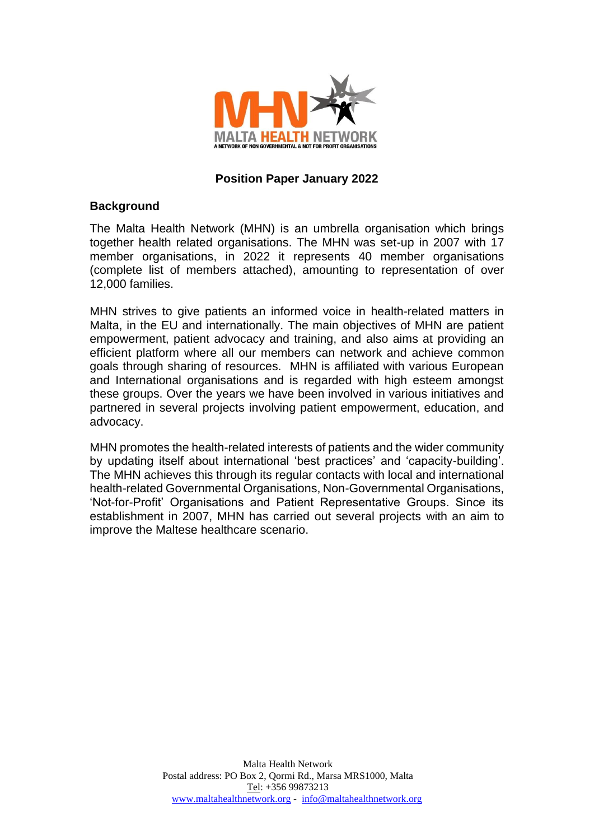

### **Position Paper January 2022**

#### **Background**

The Malta Health Network (MHN) is an umbrella organisation which brings together health related organisations. The MHN was set-up in 2007 with 17 member organisations, in 2022 it represents 40 member organisations (complete list of members attached), amounting to representation of over 12,000 families.

MHN strives to give patients an informed voice in health-related matters in Malta, in the EU and internationally. The main objectives of MHN are patient empowerment, patient advocacy and training, and also aims at providing an efficient platform where all our members can network and achieve common goals through sharing of resources. MHN is affiliated with various European and International organisations and is regarded with high esteem amongst these groups. Over the years we have been involved in various initiatives and partnered in several projects involving patient empowerment, education, and advocacy.

MHN promotes the health-related interests of patients and the wider community by updating itself about international 'best practices' and 'capacity-building'. The MHN achieves this through its regular contacts with local and international health-related Governmental Organisations, Non-Governmental Organisations, 'Not-for-Profit' Organisations and Patient Representative Groups. Since its establishment in 2007, MHN has carried out several projects with an aim to improve the Maltese healthcare scenario.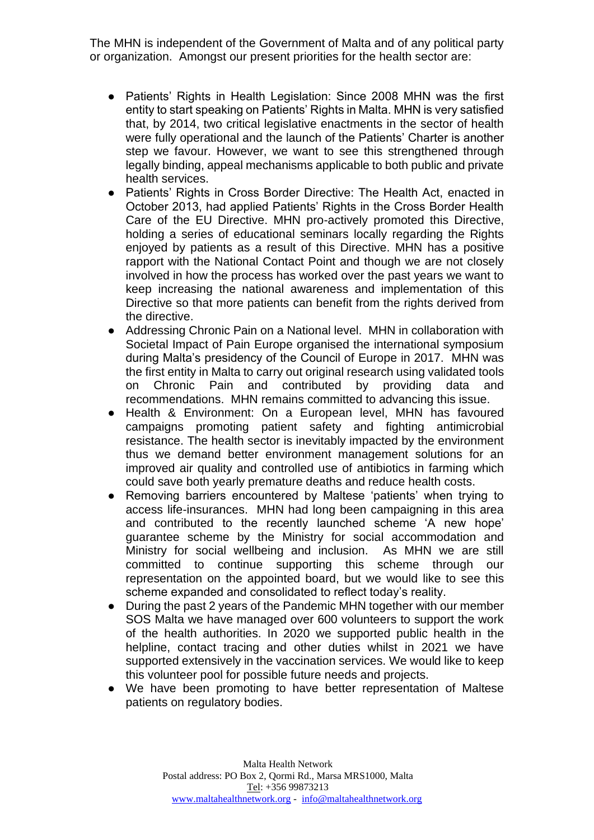The MHN is independent of the Government of Malta and of any political party or organization. Amongst our present priorities for the health sector are:

- Patients' Rights in Health Legislation: Since 2008 MHN was the first entity to start speaking on Patients' Rights in Malta. MHN is very satisfied that, by 2014, two critical legislative enactments in the sector of health were fully operational and the launch of the Patients' Charter is another step we favour. However, we want to see this strengthened through legally binding, appeal mechanisms applicable to both public and private health services.
- Patients' Rights in Cross Border Directive: The Health Act, enacted in October 2013, had applied Patients' Rights in the Cross Border Health Care of the EU Directive. MHN pro-actively promoted this Directive, holding a series of educational seminars locally regarding the Rights enjoyed by patients as a result of this Directive. MHN has a positive rapport with the National Contact Point and though we are not closely involved in how the process has worked over the past years we want to keep increasing the national awareness and implementation of this Directive so that more patients can benefit from the rights derived from the directive.
- Addressing Chronic Pain on a National level. MHN in collaboration with Societal Impact of Pain Europe organised the international symposium during Malta's presidency of the Council of Europe in 2017. MHN was the first entity in Malta to carry out original research using validated tools on Chronic Pain and contributed by providing data and recommendations. MHN remains committed to advancing this issue.
- Health & Environment: On a European level, MHN has favoured campaigns promoting patient safety and fighting antimicrobial resistance. The health sector is inevitably impacted by the environment thus we demand better environment management solutions for an improved air quality and controlled use of antibiotics in farming which could save both yearly premature deaths and reduce health costs.
- Removing barriers encountered by Maltese 'patients' when trying to access life-insurances. MHN had long been campaigning in this area and contributed to the recently launched scheme 'A new hope' guarantee scheme by the Ministry for social accommodation and Ministry for social wellbeing and inclusion. As MHN we are still committed to continue supporting this scheme through our representation on the appointed board, but we would like to see this scheme expanded and consolidated to reflect today's reality.
- During the past 2 years of the Pandemic MHN together with our member SOS Malta we have managed over 600 volunteers to support the work of the health authorities. In 2020 we supported public health in the helpline, contact tracing and other duties whilst in 2021 we have supported extensively in the vaccination services. We would like to keep this volunteer pool for possible future needs and projects.
- We have been promoting to have better representation of Maltese patients on regulatory bodies.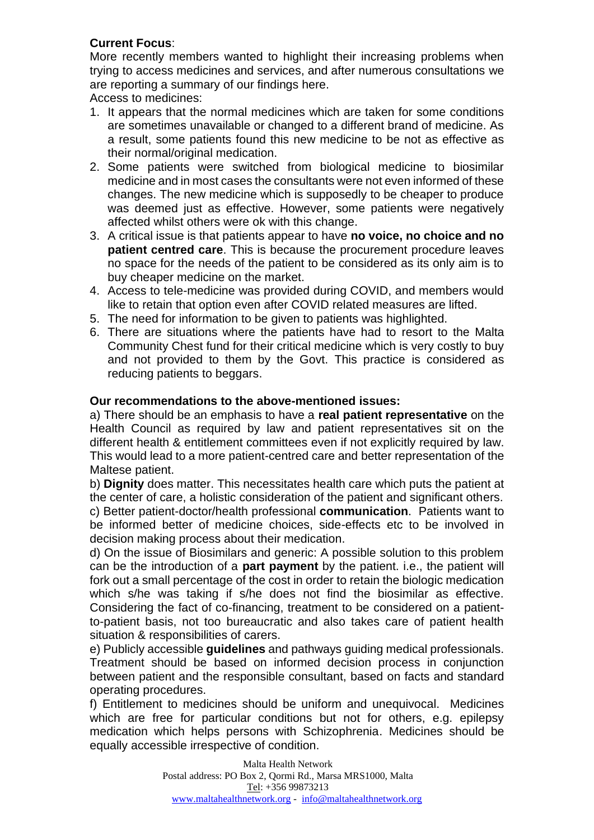# **Current Focus**:

More recently members wanted to highlight their increasing problems when trying to access medicines and services, and after numerous consultations we are reporting a summary of our findings here.

Access to medicines:

- 1. It appears that the normal medicines which are taken for some conditions are sometimes unavailable or changed to a different brand of medicine. As a result, some patients found this new medicine to be not as effective as their normal/original medication.
- 2. Some patients were switched from biological medicine to biosimilar medicine and in most cases the consultants were not even informed of these changes. The new medicine which is supposedly to be cheaper to produce was deemed just as effective. However, some patients were negatively affected whilst others were ok with this change.
- 3. A critical issue is that patients appear to have **no voice, no choice and no patient centred care**. This is because the procurement procedure leaves no space for the needs of the patient to be considered as its only aim is to buy cheaper medicine on the market.
- 4. Access to tele-medicine was provided during COVID, and members would like to retain that option even after COVID related measures are lifted.
- 5. The need for information to be given to patients was highlighted.
- 6. There are situations where the patients have had to resort to the Malta Community Chest fund for their critical medicine which is very costly to buy and not provided to them by the Govt. This practice is considered as reducing patients to beggars.

# **Our recommendations to the above-mentioned issues:**

a) There should be an emphasis to have a **real patient representative** on the Health Council as required by law and patient representatives sit on the different health & entitlement committees even if not explicitly required by law. This would lead to a more patient-centred care and better representation of the Maltese patient.

b) **Dignity** does matter. This necessitates health care which puts the patient at the center of care, a holistic consideration of the patient and significant others. c) Better patient-doctor/health professional **communication**. Patients want to be informed better of medicine choices, side-effects etc to be involved in decision making process about their medication.

d) On the issue of Biosimilars and generic: A possible solution to this problem can be the introduction of a **part payment** by the patient. i.e., the patient will fork out a small percentage of the cost in order to retain the biologic medication which s/he was taking if s/he does not find the biosimilar as effective. Considering the fact of co-financing, treatment to be considered on a patientto-patient basis, not too bureaucratic and also takes care of patient health situation & responsibilities of carers.

e) Publicly accessible **guidelines** and pathways guiding medical professionals. Treatment should be based on informed decision process in conjunction between patient and the responsible consultant, based on facts and standard operating procedures.

f) Entitlement to medicines should be uniform and unequivocal. Medicines which are free for particular conditions but not for others, e.g. epilepsy medication which helps persons with Schizophrenia. Medicines should be equally accessible irrespective of condition.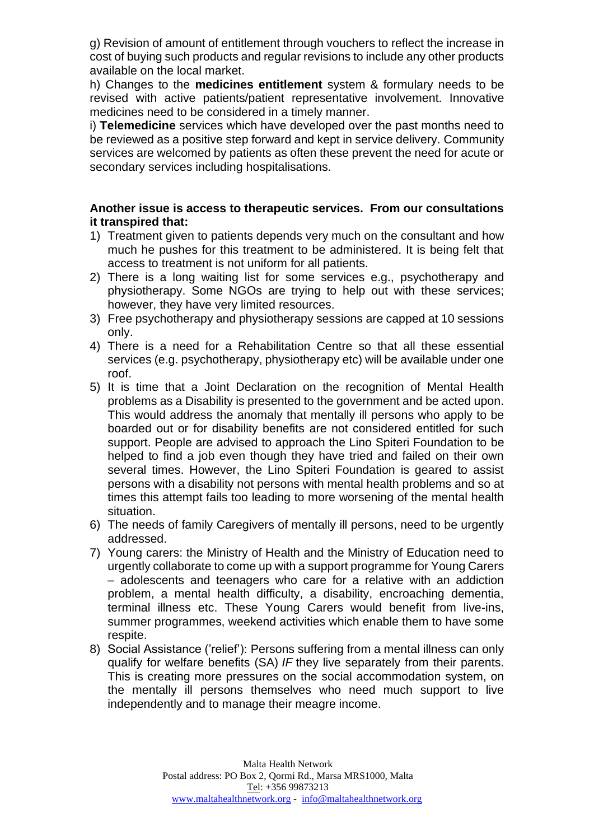g) Revision of amount of entitlement through vouchers to reflect the increase in cost of buying such products and regular revisions to include any other products available on the local market.

h) Changes to the **medicines entitlement** system & formulary needs to be revised with active patients/patient representative involvement. Innovative medicines need to be considered in a timely manner.

i) **Telemedicine** services which have developed over the past months need to be reviewed as a positive step forward and kept in service delivery. Community services are welcomed by patients as often these prevent the need for acute or secondary services including hospitalisations.

## **Another issue is access to therapeutic services. From our consultations it transpired that:**

- 1) Treatment given to patients depends very much on the consultant and how much he pushes for this treatment to be administered. It is being felt that access to treatment is not uniform for all patients.
- 2) There is a long waiting list for some services e.g., psychotherapy and physiotherapy. Some NGOs are trying to help out with these services; however, they have very limited resources.
- 3) Free psychotherapy and physiotherapy sessions are capped at 10 sessions only.
- 4) There is a need for a Rehabilitation Centre so that all these essential services (e.g. psychotherapy, physiotherapy etc) will be available under one roof.
- 5) It is time that a Joint Declaration on the recognition of Mental Health problems as a Disability is presented to the government and be acted upon. This would address the anomaly that mentally ill persons who apply to be boarded out or for disability benefits are not considered entitled for such support. People are advised to approach the Lino Spiteri Foundation to be helped to find a job even though they have tried and failed on their own several times. However, the Lino Spiteri Foundation is geared to assist persons with a disability not persons with mental health problems and so at times this attempt fails too leading to more worsening of the mental health situation.
- 6) The needs of family Caregivers of mentally ill persons, need to be urgently addressed.
- 7) Young carers: the Ministry of Health and the Ministry of Education need to urgently collaborate to come up with a support programme for Young Carers – adolescents and teenagers who care for a relative with an addiction problem, a mental health difficulty, a disability, encroaching dementia, terminal illness etc. These Young Carers would benefit from live-ins, summer programmes, weekend activities which enable them to have some respite.
- 8) Social Assistance ('relief'): Persons suffering from a mental illness can only qualify for welfare benefits (SA) *IF* they live separately from their parents. This is creating more pressures on the social accommodation system, on the mentally ill persons themselves who need much support to live independently and to manage their meagre income.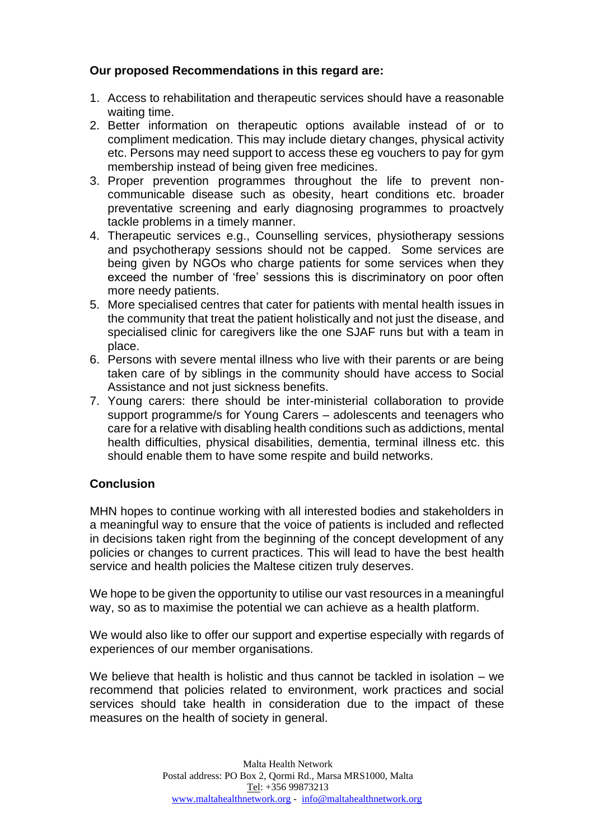# **Our proposed Recommendations in this regard are:**

- 1. Access to rehabilitation and therapeutic services should have a reasonable waiting time.
- 2. Better information on therapeutic options available instead of or to compliment medication. This may include dietary changes, physical activity etc. Persons may need support to access these eg vouchers to pay for gym membership instead of being given free medicines.
- 3. Proper prevention programmes throughout the life to prevent noncommunicable disease such as obesity, heart conditions etc. broader preventative screening and early diagnosing programmes to proactvely tackle problems in a timely manner.
- 4. Therapeutic services e.g., Counselling services, physiotherapy sessions and psychotherapy sessions should not be capped. Some services are being given by NGOs who charge patients for some services when they exceed the number of 'free' sessions this is discriminatory on poor often more needy patients.
- 5. More specialised centres that cater for patients with mental health issues in the community that treat the patient holistically and not just the disease, and specialised clinic for caregivers like the one SJAF runs but with a team in place.
- 6. Persons with severe mental illness who live with their parents or are being taken care of by siblings in the community should have access to Social Assistance and not just sickness benefits.
- 7. Young carers: there should be inter-ministerial collaboration to provide support programme/s for Young Carers – adolescents and teenagers who care for a relative with disabling health conditions such as addictions, mental health difficulties, physical disabilities, dementia, terminal illness etc. this should enable them to have some respite and build networks.

# **Conclusion**

MHN hopes to continue working with all interested bodies and stakeholders in a meaningful way to ensure that the voice of patients is included and reflected in decisions taken right from the beginning of the concept development of any policies or changes to current practices. This will lead to have the best health service and health policies the Maltese citizen truly deserves.

We hope to be given the opportunity to utilise our vast resources in a meaningful way, so as to maximise the potential we can achieve as a health platform.

We would also like to offer our support and expertise especially with regards of experiences of our member organisations.

We believe that health is holistic and thus cannot be tackled in isolation  $-$  we recommend that policies related to environment, work practices and social services should take health in consideration due to the impact of these measures on the health of society in general.